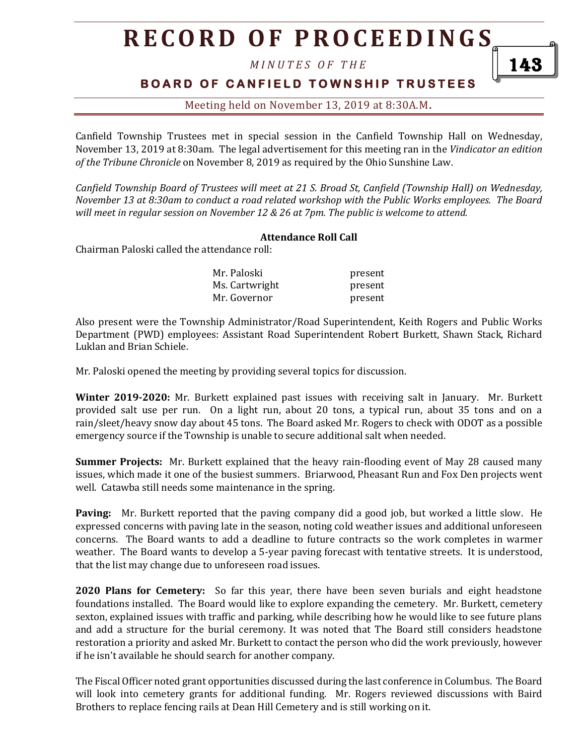# **R E C O R D O F P R O C E E D I N GS**

*M I N U T E S O F T H E* 

### **BOARD OF CANFIELD TOWNSHIP TRUSTEES**

143

Meeting held on November 13, 2019 at 8:30A.M**.**

Canfield Township Trustees met in special session in the Canfield Township Hall on Wednesday, November 13, 2019 at 8:30am. The legal advertisement for this meeting ran in the *Vindicator an edition of the Tribune Chronicle* on November 8, 2019 as required by the Ohio Sunshine Law.

*Canfield Township Board of Trustees will meet at 21 S. Broad St, Canfield (Township Hall) on Wednesday, November 13 at 8:30am to conduct a road related workshop with the Public Works employees. The Board will meet in regular session on November 12 & 26 at 7pm. The public is welcome to attend.*

#### **Attendance Roll Call**

Chairman Paloski called the attendance roll:

| Mr. Paloski    | present |
|----------------|---------|
| Ms. Cartwright | present |
| Mr. Governor   | present |

Also present were the Township Administrator/Road Superintendent, Keith Rogers and Public Works Department (PWD) employees: Assistant Road Superintendent Robert Burkett, Shawn Stack, Richard Luklan and Brian Schiele.

Mr. Paloski opened the meeting by providing several topics for discussion.

**Winter 2019-2020:** Mr. Burkett explained past issues with receiving salt in January. Mr. Burkett provided salt use per run. On a light run, about 20 tons, a typical run, about 35 tons and on a rain/sleet/heavy snow day about 45 tons. The Board asked Mr. Rogers to check with ODOT as a possible emergency source if the Township is unable to secure additional salt when needed.

**Summer Projects:** Mr. Burkett explained that the heavy rain-flooding event of May 28 caused many issues, which made it one of the busiest summers. Briarwood, Pheasant Run and Fox Den projects went well. Catawba still needs some maintenance in the spring.

**Paving:** Mr. Burkett reported that the paving company did a good job, but worked a little slow. He expressed concerns with paving late in the season, noting cold weather issues and additional unforeseen concerns. The Board wants to add a deadline to future contracts so the work completes in warmer weather. The Board wants to develop a 5-year paving forecast with tentative streets. It is understood, that the list may change due to unforeseen road issues.

**2020 Plans for Cemetery:** So far this year, there have been seven burials and eight headstone foundations installed. The Board would like to explore expanding the cemetery. Mr. Burkett, cemetery sexton, explained issues with traffic and parking, while describing how he would like to see future plans and add a structure for the burial ceremony. It was noted that The Board still considers headstone restoration a priority and asked Mr. Burkett to contact the person who did the work previously, however if he isn't available he should search for another company.

The Fiscal Officer noted grant opportunities discussed during the last conference in Columbus. The Board will look into cemetery grants for additional funding. Mr. Rogers reviewed discussions with Baird Brothers to replace fencing rails at Dean Hill Cemetery and is still working on it.